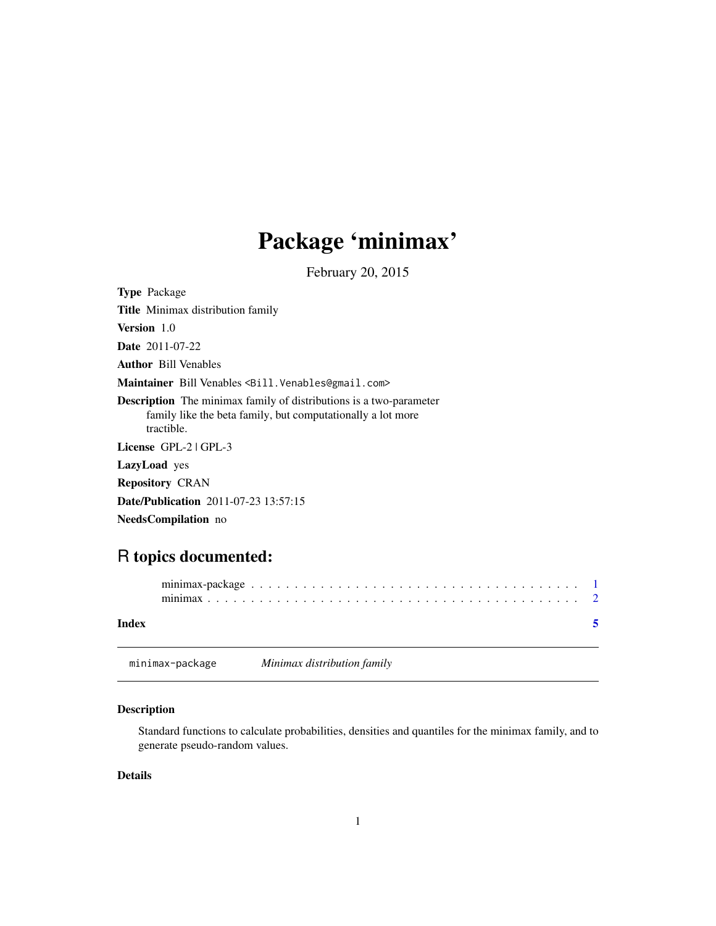## <span id="page-0-0"></span>Package 'minimax'

February 20, 2015

<span id="page-0-1"></span>Type Package Title Minimax distribution family Version 1.0 Date 2011-07-22 Author Bill Venables Maintainer Bill Venables <Bill.Venables@gmail.com> Description The minimax family of distributions is a two-parameter family like the beta family, but computationally a lot more tractible. License GPL-2 | GPL-3 LazyLoad yes Repository CRAN Date/Publication 2011-07-23 13:57:15 NeedsCompilation no

### R topics documented:

| Index |                 |                             |  |  |  |  |  |  |  |  |  |  |  |  |  |  |  |
|-------|-----------------|-----------------------------|--|--|--|--|--|--|--|--|--|--|--|--|--|--|--|
|       | minimax-package | Minimax distribution family |  |  |  |  |  |  |  |  |  |  |  |  |  |  |  |

#### Description

Standard functions to calculate probabilities, densities and quantiles for the minimax family, and to generate pseudo-random values.

#### Details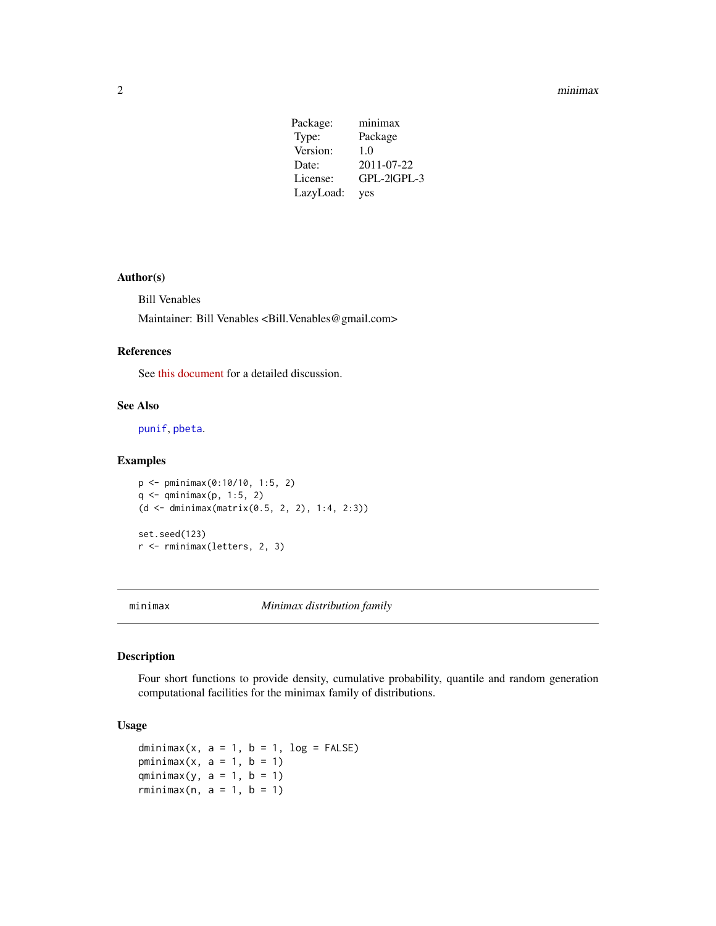#### <span id="page-1-0"></span>2 minimax

| Package:  | minimax     |
|-----------|-------------|
| Type:     | Package     |
| Version:  | 1.0         |
| Date:     | 2011-07-22  |
| License:  | GPL-2 GPL-3 |
| LazyLoad: | yes         |

#### Author(s)

Bill Venables

Maintainer: Bill Venables <Bill.Venables@gmail.com>

#### References

See [this document](http://stats-www.open.ac.uk/TechnicalReports/minimax.pdf) for a detailed discussion.

#### See Also

[punif](#page-0-1), [pbeta](#page-0-1).

#### Examples

```
p <- pminimax(0:10/10, 1:5, 2)
q <- qminimax(p, 1:5, 2)
(d <- dminimax(matrix(0.5, 2, 2), 1:4, 2:3))
set.seed(123)
r <- rminimax(letters, 2, 3)
```
minimax *Minimax distribution family*

#### Description

Four short functions to provide density, cumulative probability, quantile and random generation computational facilities for the minimax family of distributions.

#### Usage

```
dminimax(x, a = 1, b = 1, log = FALSE)
pminimax(x, a = 1, b = 1)
qminimax(y, a = 1, b = 1)
rminimax(n, a = 1, b = 1)
```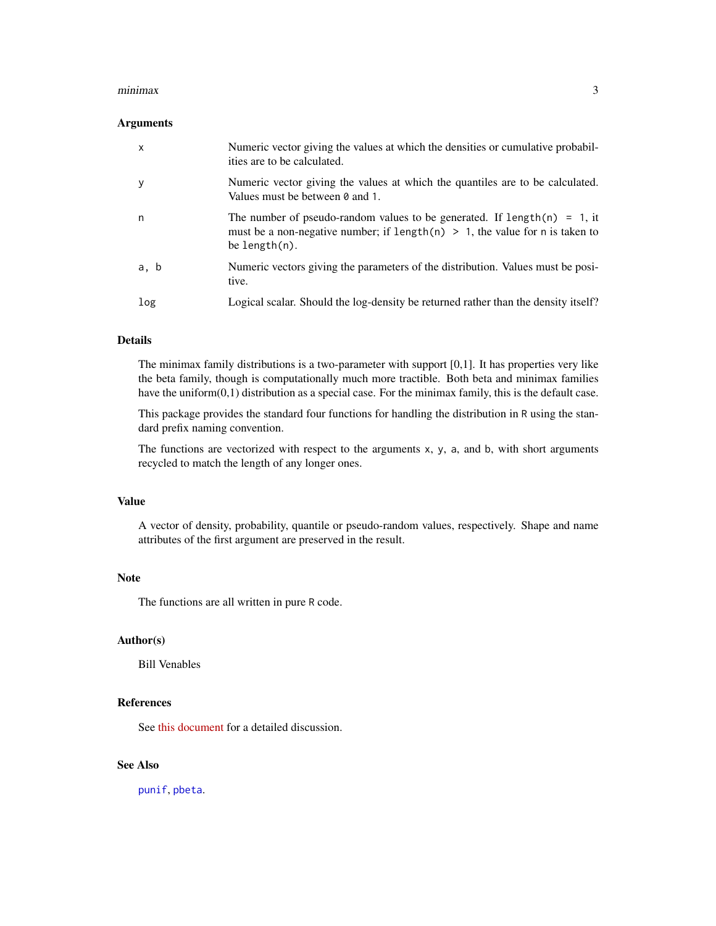#### <span id="page-2-0"></span>minimax 3

#### Arguments

| x    | Numeric vector giving the values at which the densities or cumulative probabil-<br>ities are to be calculated.                                                                  |
|------|---------------------------------------------------------------------------------------------------------------------------------------------------------------------------------|
| у    | Numeric vector giving the values at which the quantiles are to be calculated.<br>Values must be between 0 and 1.                                                                |
| n    | The number of pseudo-random values to be generated. If $length(n) = 1$ , it<br>must be a non-negative number; if length(n) $> 1$ , the value for n is taken to<br>be length(n). |
| a, b | Numeric vectors giving the parameters of the distribution. Values must be posi-<br>tive.                                                                                        |
| log  | Logical scalar. Should the log-density be returned rather than the density itself?                                                                                              |

#### Details

The minimax family distributions is a two-parameter with support [0,1]. It has properties very like the beta family, though is computationally much more tractible. Both beta and minimax families have the uniform(0,1) distribution as a special case. For the minimax family, this is the default case.

This package provides the standard four functions for handling the distribution in R using the standard prefix naming convention.

The functions are vectorized with respect to the arguments x, y, a, and b, with short arguments recycled to match the length of any longer ones.

#### Value

A vector of density, probability, quantile or pseudo-random values, respectively. Shape and name attributes of the first argument are preserved in the result.

#### Note

The functions are all written in pure R code.

#### Author(s)

Bill Venables

#### References

See [this document](http://stats-www.open.ac.uk/TechnicalReports/minimax.pdf) for a detailed discussion.

#### See Also

[punif](#page-0-1), [pbeta](#page-0-1).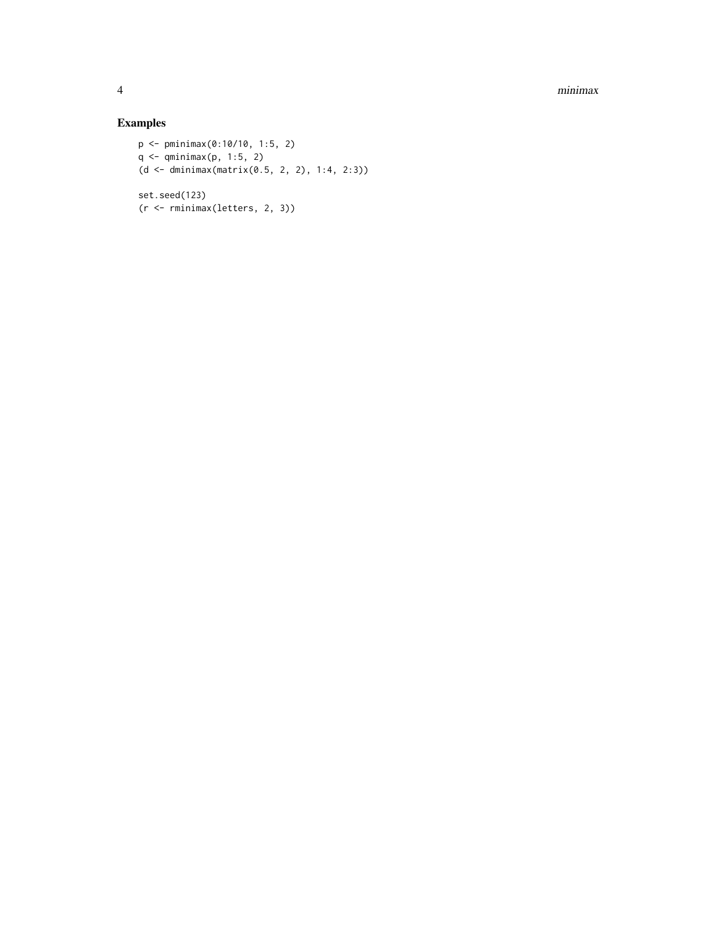4 minimax

#### Examples

```
p <- pminimax(0:10/10, 1:5, 2)
q <- qminimax(p, 1:5, 2)
(d <- dminimax(matrix(0.5, 2, 2), 1:4, 2:3))
set.seed(123)
(r <- rminimax(letters, 2, 3))
```